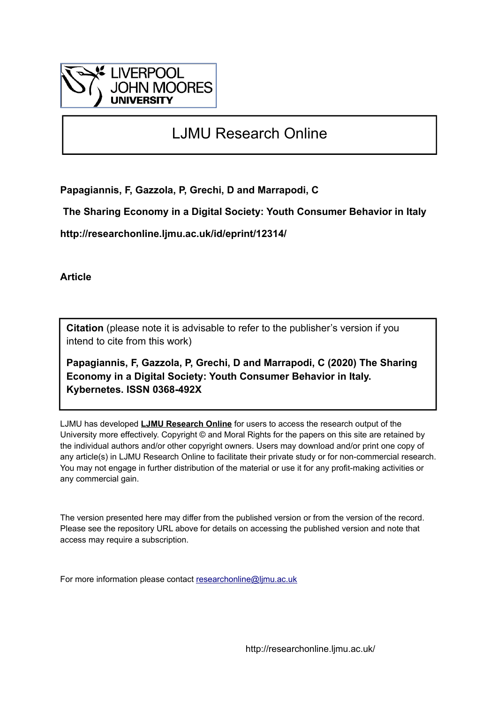

# LJMU Research Online

**Papagiannis, F, Gazzola, P, Grechi, D and Marrapodi, C**

 **The Sharing Economy in a Digital Society: Youth Consumer Behavior in Italy**

**http://researchonline.ljmu.ac.uk/id/eprint/12314/**

**Article**

**Citation** (please note it is advisable to refer to the publisher's version if you intend to cite from this work)

**Papagiannis, F, Gazzola, P, Grechi, D and Marrapodi, C (2020) The Sharing Economy in a Digital Society: Youth Consumer Behavior in Italy. Kybernetes. ISSN 0368-492X** 

LJMU has developed **[LJMU Research Online](http://researchonline.ljmu.ac.uk/)** for users to access the research output of the University more effectively. Copyright © and Moral Rights for the papers on this site are retained by the individual authors and/or other copyright owners. Users may download and/or print one copy of any article(s) in LJMU Research Online to facilitate their private study or for non-commercial research. You may not engage in further distribution of the material or use it for any profit-making activities or any commercial gain.

The version presented here may differ from the published version or from the version of the record. Please see the repository URL above for details on accessing the published version and note that access may require a subscription.

For more information please contact [researchonline@ljmu.ac.uk](mailto:researchonline@ljmu.ac.uk)

http://researchonline.ljmu.ac.uk/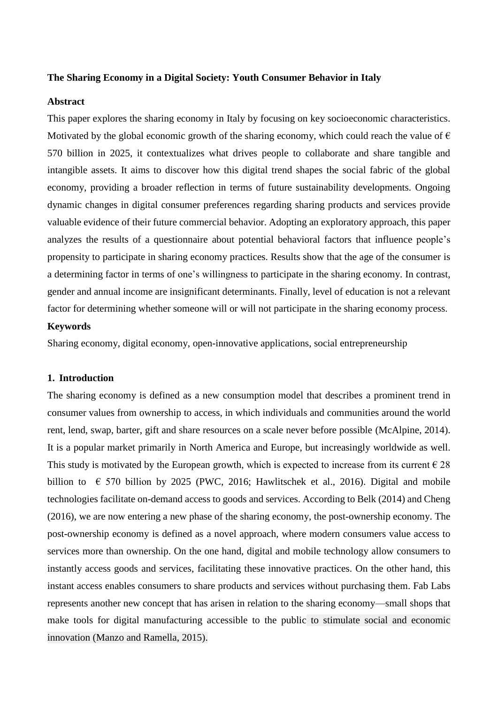### **The Sharing Economy in a Digital Society: Youth Consumer Behavior in Italy**

### **Abstract**

This paper explores the sharing economy in Italy by focusing on key socioeconomic characteristics. Motivated by the global economic growth of the sharing economy, which could reach the value of  $\epsilon$ 570 billion in 2025, it contextualizes what drives people to collaborate and share tangible and intangible assets. It aims to discover how this digital trend shapes the social fabric of the global economy, providing a broader reflection in terms of future sustainability developments. Ongoing dynamic changes in digital consumer preferences regarding sharing products and services provide valuable evidence of their future commercial behavior. Adopting an exploratory approach, this paper analyzes the results of a questionnaire about potential behavioral factors that influence people's propensity to participate in sharing economy practices. Results show that the age of the consumer is a determining factor in terms of one's willingness to participate in the sharing economy. In contrast, gender and annual income are insignificant determinants. Finally, level of education is not a relevant factor for determining whether someone will or will not participate in the sharing economy process.

# **Keywords**

Sharing economy, digital economy, open-innovative applications, social entrepreneurship

### **1. Introduction**

The sharing economy is defined as a new consumption model that describes a prominent trend in consumer values from ownership to access, in which individuals and communities around the world rent, lend, swap, barter, gift and share resources on a scale never before possible (McAlpine, 2014). It is a popular market primarily in North America and Europe, but increasingly worldwide as well. This study is motivated by the European growth, which is expected to increase from its current  $\epsilon$  28 billion to  $\epsilon$  570 billion by 2025 (PWC, 2016; Hawlitschek et al., 2016). Digital and mobile technologies facilitate on-demand access to goods and services. According to Belk (2014) and Cheng (2016), we are now entering a new phase of the sharing economy, the post-ownership economy. The post-ownership economy is defined as a novel approach, where modern consumers value access to services more than ownership. On the one hand, digital and mobile technology allow consumers to instantly access goods and services, facilitating these innovative practices. On the other hand, this instant access enables consumers to share products and services without purchasing them. Fab Labs represents another new concept that has arisen in relation to the sharing economy—small shops that make tools for digital manufacturing accessible to the public to stimulate social and economic innovation (Manzo and Ramella, 2015).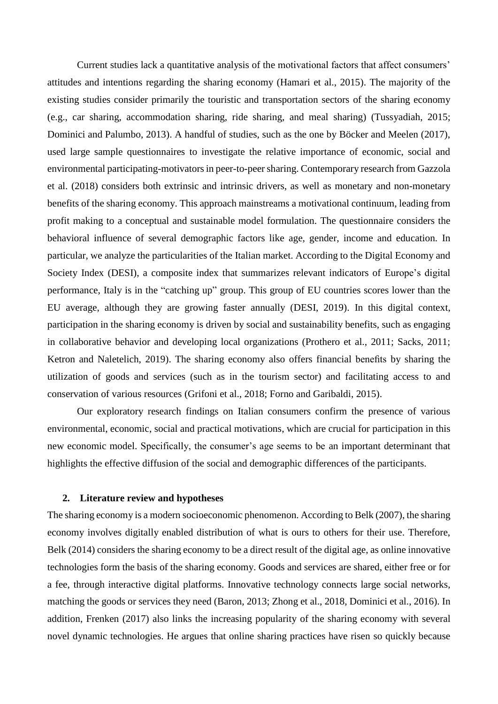Current studies lack a quantitative analysis of the motivational factors that affect consumers' attitudes and intentions regarding the sharing economy (Hamari et al., 2015). The majority of the existing studies consider primarily the touristic and transportation sectors of the sharing economy (e.g., car sharing, accommodation sharing, ride sharing, and meal sharing) (Tussyadiah, 2015; Dominici and Palumbo, 2013). A handful of studies, such as the one by Böcker and Meelen (2017), used large sample questionnaires to investigate the relative importance of economic, social and environmental participating-motivators in peer-to-peer sharing. Contemporary research from Gazzola et al. (2018) considers both extrinsic and intrinsic drivers, as well as monetary and non-monetary benefits of the sharing economy. This approach mainstreams a motivational continuum, leading from profit making to a conceptual and sustainable model formulation. The questionnaire considers the behavioral influence of several demographic factors like age, gender, income and education. In particular, we analyze the particularities of the Italian market. According to the Digital Economy and Society Index (DESI), a composite index that summarizes relevant indicators of Europe's digital performance, Italy is in the "catching up" group. This group of EU countries scores lower than the EU average, although they are growing faster annually (DESI, 2019). In this digital context, participation in the sharing economy is driven by social and sustainability benefits, such as engaging in collaborative behavior and developing local organizations (Prothero et al., 2011; Sacks, 2011; Ketron and Naletelich, 2019). The sharing economy also offers financial benefits by sharing the utilization of goods and services (such as in the tourism sector) and facilitating access to and conservation of various resources (Grifoni et al., 2018; Forno and Garibaldi, 2015).

Our exploratory research findings on Italian consumers confirm the presence of various environmental, economic, social and practical motivations, which are crucial for participation in this new economic model. Specifically, the consumer's age seems to be an important determinant that highlights the effective diffusion of the social and demographic differences of the participants.

# **2. Literature review and hypotheses**

The sharing economy is a modern socioeconomic phenomenon. According to Belk (2007), the sharing economy involves digitally enabled distribution of what is ours to others for their use. Therefore, Belk (2014) considers the sharing economy to be a direct result of the digital age, as online innovative technologies form the basis of the sharing economy. Goods and services are shared, either free or for a fee, through interactive digital platforms. Innovative technology connects large social networks, matching the goods or services they need (Baron, 2013; Zhong et al., 2018, Dominici et al., 2016). In addition, Frenken (2017) also links the increasing popularity of the sharing economy with several novel dynamic technologies. He argues that online sharing practices have risen so quickly because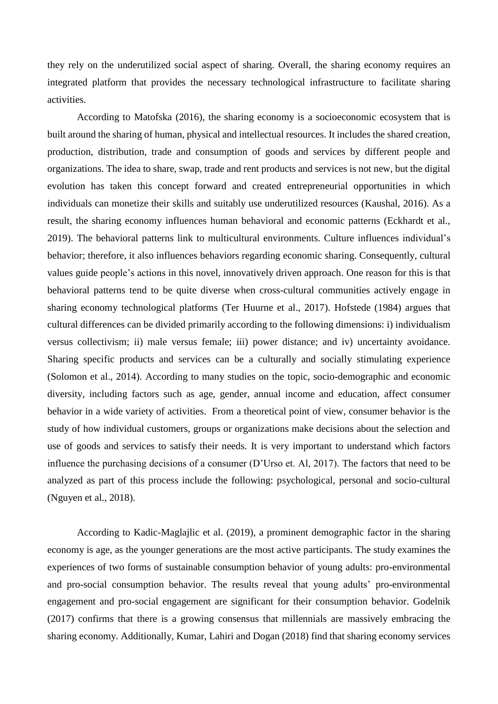they rely on the underutilized social aspect of sharing. Overall, the sharing economy requires an integrated platform that provides the necessary technological infrastructure to facilitate sharing activities.

According to Matofska (2016), the sharing economy is a socioeconomic ecosystem that is built around the sharing of human, physical and intellectual resources. It includes the shared creation, production, distribution, trade and consumption of goods and services by different people and organizations. The idea to share, swap, trade and rent products and services is not new, but the digital evolution has taken this concept forward and created entrepreneurial opportunities in which individuals can monetize their skills and suitably use underutilized resources (Kaushal, 2016). As a result, the sharing economy influences human behavioral and economic patterns (Eckhardt et al., 2019). The behavioral patterns link to multicultural environments. Culture influences individual's behavior; therefore, it also influences behaviors regarding economic sharing. Consequently, cultural values guide people's actions in this novel, innovatively driven approach. One reason for this is that behavioral patterns tend to be quite diverse when cross-cultural communities actively engage in sharing economy technological platforms (Ter Huurne et al., 2017). Hofstede (1984) argues that cultural differences can be divided primarily according to the following dimensions: i) individualism versus collectivism; ii) male versus female; iii) power distance; and iv) uncertainty avoidance. Sharing specific products and services can be a culturally and socially stimulating experience (Solomon et al., 2014). According to many studies on the topic, socio-demographic and economic diversity, including factors such as age, gender, annual income and education, affect consumer behavior in a wide variety of activities. From a theoretical point of view, consumer behavior is the study of how individual customers, groups or organizations make decisions about the selection and use of goods and services to satisfy their needs. It is very important to understand which factors influence the purchasing decisions of a consumer (D'Urso et. Al, 2017). The factors that need to be analyzed as part of this process include the following: psychological, personal and socio-cultural (Nguyen et al., 2018).

According to Kadic-Maglajlic et al. (2019), a prominent demographic factor in the sharing economy is age, as the younger generations are the most active participants. The study examines the experiences of two forms of sustainable consumption behavior of young adults: pro-environmental and pro-social consumption behavior. The results reveal that young adults' pro-environmental engagement and pro-social engagement are significant for their consumption behavior. Godelnik (2017) confirms that there is a growing consensus that millennials are massively embracing the sharing economy. Additionally, Kumar, Lahiri and Dogan (2018) find that sharing economy services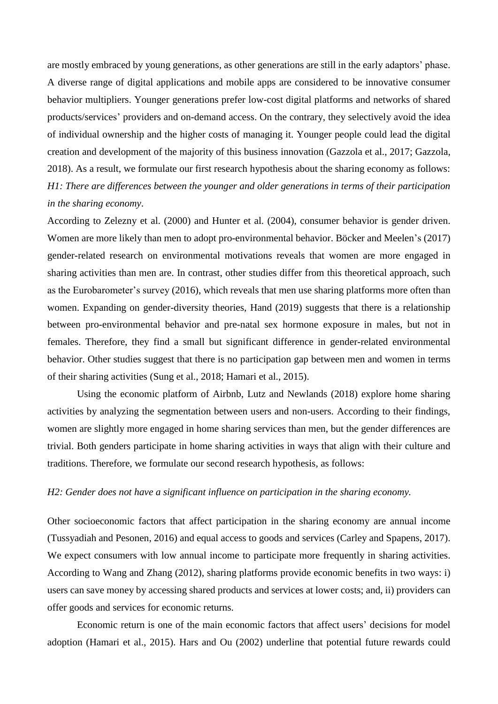are mostly embraced by young generations, as other generations are still in the early adaptors' phase. A diverse range of digital applications and mobile apps are considered to be innovative consumer behavior multipliers. Younger generations prefer low-cost digital platforms and networks of shared products/services' providers and on-demand access. On the contrary, they selectively avoid the idea of individual ownership and the higher costs of managing it. Younger people could lead the digital creation and development of the majority of this business innovation (Gazzola et al., 2017; Gazzola, 2018). As a result, we formulate our first research hypothesis about the sharing economy as follows: *H1: There are differences between the younger and older generations in terms of their participation in the sharing economy*.

According to Zelezny et al. (2000) and Hunter et al. (2004), consumer behavior is gender driven. Women are more likely than men to adopt pro-environmental behavior. Böcker and Meelen's (2017) gender-related research on environmental motivations reveals that women are more engaged in sharing activities than men are. In contrast, other studies differ from this theoretical approach, such as the Eurobarometer's survey (2016), which reveals that men use sharing platforms more often than women. Expanding on gender-diversity theories, Hand (2019) suggests that there is a relationship between pro-environmental behavior and pre-natal sex hormone exposure in males, but not in females. Therefore, they find a small but significant difference in gender-related environmental behavior. Other studies suggest that there is no participation gap between men and women in terms of their sharing activities (Sung et al., 2018; Hamari et al., 2015).

Using the economic platform of Airbnb, Lutz and Newlands (2018) explore home sharing activities by analyzing the segmentation between users and non-users. According to their findings, women are slightly more engaged in home sharing services than men, but the gender differences are trivial. Both genders participate in home sharing activities in ways that align with their culture and traditions. Therefore, we formulate our second research hypothesis, as follows:

### *H2: Gender does not have a significant influence on participation in the sharing economy.*

Other socioeconomic factors that affect participation in the sharing economy are annual income (Tussyadiah and Pesonen, 2016) and equal access to goods and services (Carley and Spapens, 2017). We expect consumers with low annual income to participate more frequently in sharing activities. According to Wang and Zhang (2012), sharing platforms provide economic benefits in two ways: i) users can save money by accessing shared products and services at lower costs; and, ii) providers can offer goods and services for economic returns.

Economic return is one of the main economic factors that affect users' decisions for model adoption (Hamari et al., 2015). Hars and Ou (2002) underline that potential future rewards could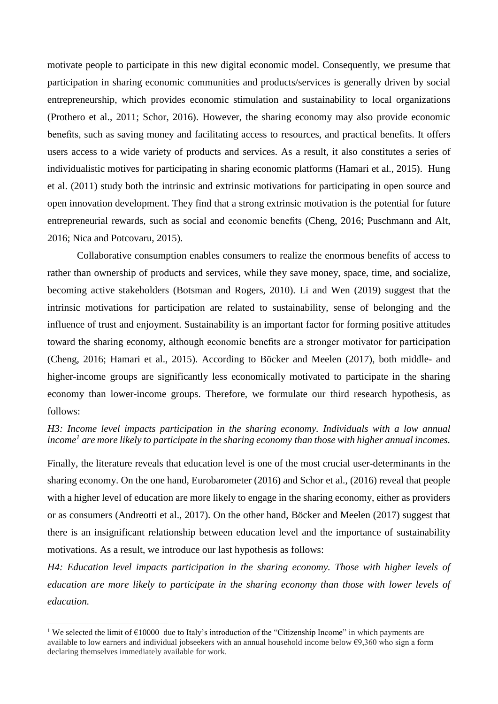motivate people to participate in this new digital economic model. Consequently, we presume that participation in sharing economic communities and products/services is generally driven by social entrepreneurship, which provides economic stimulation and sustainability to local organizations (Prothero et al., 2011; Schor, 2016). However, the sharing economy may also provide economic benefits, such as saving money and facilitating access to resources, and practical benefits. It offers users access to a wide variety of products and services. As a result, it also constitutes a series of individualistic motives for participating in sharing economic platforms (Hamari et al., 2015). Hung et al. (2011) study both the intrinsic and extrinsic motivations for participating in open source and open innovation development. They find that a strong extrinsic motivation is the potential for future entrepreneurial rewards, such as social and economic benefits (Cheng, 2016; Puschmann and Alt, 2016; Nica and Potcovaru, 2015).

Collaborative consumption enables consumers to realize the enormous benefits of access to rather than ownership of products and services, while they save money, space, time, and socialize, becoming active stakeholders (Botsman and Rogers, 2010). Li and Wen (2019) suggest that the intrinsic motivations for participation are related to sustainability, sense of belonging and the influence of trust and enjoyment. Sustainability is an important factor for forming positive attitudes toward the sharing economy, although economic benefits are a stronger motivator for participation (Cheng, 2016; Hamari et al., 2015). According to Böcker and Meelen (2017), both middle- and higher-income groups are significantly less economically motivated to participate in the sharing economy than lower-income groups. Therefore, we formulate our third research hypothesis, as follows:

*H3: Income level impacts participation in the sharing economy. Individuals with a low annual income<sup>1</sup> are more likely to participate in the sharing economy than those with higher annual incomes.*

Finally, the literature reveals that education level is one of the most crucial user-determinants in the sharing economy. On the one hand, Eurobarometer (2016) and Schor et al., (2016) reveal that people with a higher level of education are more likely to engage in the sharing economy, either as providers or as consumers (Andreotti et al., 2017). On the other hand, Böcker and Meelen (2017) suggest that there is an insignificant relationship between education level and the importance of sustainability motivations. As a result, we introduce our last hypothesis as follows:

*H4: Education level impacts participation in the sharing economy. Those with higher levels of education are more likely to participate in the sharing economy than those with lower levels of education.*

1

<sup>&</sup>lt;sup>1</sup> We selected the limit of  $\epsilon$ 10000 due to Italy's introduction of the "Citizenship Income" in which payments are available to low earners and individual jobseekers with an annual household income below  $\epsilon$ 9,360 who sign a form declaring themselves immediately available for work.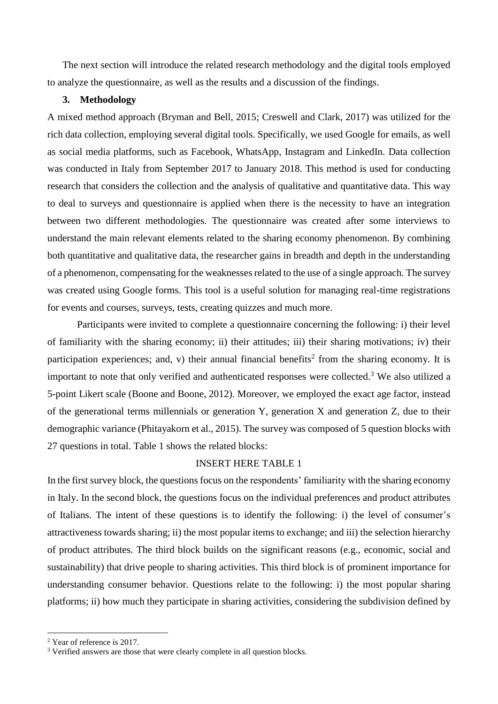The next section will introduce the related research methodology and the digital tools employed to analyze the questionnaire, as well as the results and a discussion of the findings.

### **3. Methodology**

A mixed method approach (Bryman and Bell, 2015; Creswell and Clark, 2017) was utilized for the rich data collection, employing several digital tools. Specifically, we used Google for emails, as well as social media platforms, such as Facebook, WhatsApp, Instagram and LinkedIn. Data collection was conducted in Italy from September 2017 to January 2018. This method is used for conducting research that considers the collection and the analysis of qualitative and quantitative data. This way to deal to surveys and questionnaire is applied when there is the necessity to have an integration between two different methodologies. The questionnaire was created after some interviews to understand the main relevant elements related to the sharing economy phenomenon. By combining both quantitative and qualitative data, the researcher gains in breadth and depth in the understanding of a phenomenon, compensating for the weaknesses related to the use of a single approach. The survey was created using Google forms. This tool is a useful solution for managing real-time registrations for events and courses, surveys, tests, creating quizzes and much more.

Participants were invited to complete a questionnaire concerning the following: i) their level of familiarity with the sharing economy; ii) their attitudes; iii) their sharing motivations; iv) their participation experiences; and, v) their annual financial benefits<sup>2</sup> from the sharing economy. It is important to note that only verified and authenticated responses were collected.<sup>3</sup> We also utilized a 5-point Likert scale (Boone and Boone, 2012). Moreover, we employed the exact age factor, instead of the generational terms millennials or generation Y, generation X and generation Z, due to their demographic variance (Phitayakorn et al., 2015). The survey was composed of 5 question blocks with 27 questions in total. Table 1 shows the related blocks:

# INSERT HERE TABLE 1

In the first survey block, the questions focus on the respondents' familiarity with the sharing economy in Italy. In the second block, the questions focus on the individual preferences and product attributes of Italians. The intent of these questions is to identify the following: i) the level of consumer's attractiveness towards sharing; ii) the most popular items to exchange; and iii) the selection hierarchy of product attributes. The third block builds on the significant reasons (e.g., economic, social and sustainability) that drive people to sharing activities. This third block is of prominent importance for understanding consumer behavior. Questions relate to the following: i) the most popular sharing platforms; ii) how much they participate in sharing activities, considering the subdivision defined by

1

<sup>2</sup> Year of reference is 2017.

<sup>&</sup>lt;sup>3</sup> Verified answers are those that were clearly complete in all question blocks.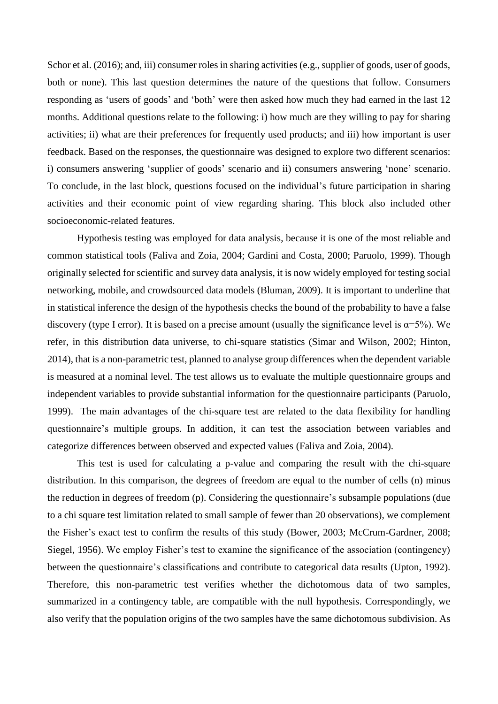Schor et al. (2016); and, iii) consumer roles in sharing activities (e.g., supplier of goods, user of goods, both or none). This last question determines the nature of the questions that follow. Consumers responding as 'users of goods' and 'both' were then asked how much they had earned in the last 12 months. Additional questions relate to the following: i) how much are they willing to pay for sharing activities; ii) what are their preferences for frequently used products; and iii) how important is user feedback. Based on the responses, the questionnaire was designed to explore two different scenarios: i) consumers answering 'supplier of goods' scenario and ii) consumers answering 'none' scenario. To conclude, in the last block, questions focused on the individual's future participation in sharing activities and their economic point of view regarding sharing. This block also included other socioeconomic-related features.

Hypothesis testing was employed for data analysis, because it is one of the most reliable and common statistical tools (Faliva and Zoia, 2004; Gardini and Costa, 2000; Paruolo, 1999). Though originally selected for scientific and survey data analysis, it is now widely employed for testing social networking, mobile, and crowdsourced data models (Bluman, 2009). It is important to underline that in statistical inference the design of the hypothesis checks the bound of the probability to have a false discovery (type I error). It is based on a precise amount (usually the significance level is  $\alpha = 5\%$ ). We refer, in this distribution data universe, to chi-square statistics (Simar and Wilson, 2002; Hinton, 2014), that is a non-parametric test, planned to analyse group differences when the dependent variable is measured at a nominal level. The test allows us to evaluate the multiple questionnaire groups and independent variables to provide substantial information for the questionnaire participants (Paruolo, 1999). The main advantages of the chi-square test are related to the data flexibility for handling questionnaire's multiple groups. In addition, it can test the association between variables and categorize differences between observed and expected values (Faliva and Zoia, 2004).

This test is used for calculating a p-value and comparing the result with the chi-square distribution. In this comparison, the degrees of freedom are equal to the number of cells (n) minus the reduction in degrees of freedom (p). Considering the questionnaire's subsample populations (due to a chi square test limitation related to small sample of fewer than 20 observations), we complement the Fisher's exact test to confirm the results of this study (Bower, 2003; McCrum-Gardner, 2008; Siegel, 1956). We employ Fisher's test to examine the significance of the association (contingency) between the questionnaire's classifications and contribute to categorical data results (Upton, 1992). Therefore, this non-parametric test verifies whether the dichotomous data of two samples, summarized in a contingency table, are compatible with the null hypothesis. Correspondingly, we also verify that the population origins of the two samples have the same dichotomous subdivision. As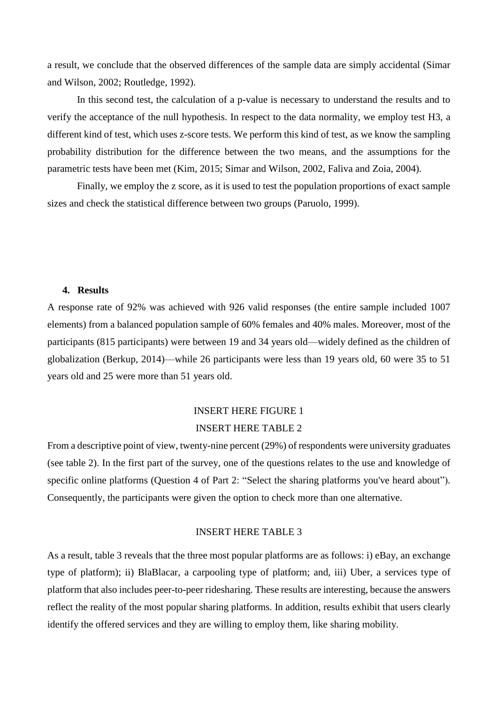a result, we conclude that the observed differences of the sample data are simply accidental (Simar and Wilson, 2002; Routledge, 1992).

In this second test, the calculation of a p-value is necessary to understand the results and to verify the acceptance of the null hypothesis. In respect to the data normality, we employ test H3, a different kind of test, which uses z-score tests. We perform this kind of test, as we know the sampling probability distribution for the difference between the two means, and the assumptions for the parametric tests have been met (Kim, 2015; Simar and Wilson, 2002, Faliva and Zoia, 2004).

Finally, we employ the z score, as it is used to test the population proportions of exact sample sizes and check the statistical difference between two groups (Paruolo, 1999).

### **4. Results**

A response rate of 92% was achieved with 926 valid responses (the entire sample included 1007 elements) from a balanced population sample of 60% females and 40% males. Moreover, most of the participants (815 participants) were between 19 and 34 years old—widely defined as the children of globalization (Berkup, 2014)—while 26 participants were less than 19 years old, 60 were 35 to 51 years old and 25 were more than 51 years old.

# INSERT HERE FIGURE 1 INSERT HERE TABLE 2

From a descriptive point of view, twenty-nine percent (29%) of respondents were university graduates (see table 2). In the first part of the survey, one of the questions relates to the use and knowledge of specific online platforms (Question 4 of Part 2: "Select the sharing platforms you've heard about"). Consequently, the participants were given the option to check more than one alternative.

### INSERT HERE TABLE 3

As a result, table 3 reveals that the three most popular platforms are as follows: i) eBay, an exchange type of platform); ii) BlaBlacar, a carpooling type of platform; and, iii) Uber, a services type of platform that also includes peer-to-peer ridesharing. These results are interesting, because the answers reflect the reality of the most popular sharing platforms. In addition, results exhibit that users clearly identify the offered services and they are willing to employ them, like sharing mobility.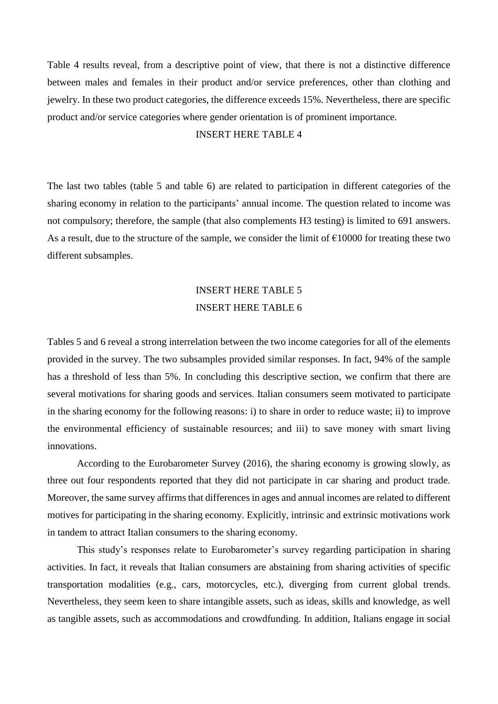Table 4 results reveal, from a descriptive point of view, that there is not a distinctive difference between males and females in their product and/or service preferences, other than clothing and jewelry. In these two product categories, the difference exceeds 15%. Nevertheless, there are specific product and/or service categories where gender orientation is of prominent importance.

# INSERT HERE TABLE 4

The last two tables (table 5 and table 6) are related to participation in different categories of the sharing economy in relation to the participants' annual income. The question related to income was not compulsory; therefore, the sample (that also complements H3 testing) is limited to 691 answers. As a result, due to the structure of the sample, we consider the limit of  $\epsilon$ 10000 for treating these two different subsamples.

# INSERT HERE TABLE 5 INSERT HERE TABLE 6

Tables 5 and 6 reveal a strong interrelation between the two income categories for all of the elements provided in the survey. The two subsamples provided similar responses. In fact, 94% of the sample has a threshold of less than 5%. In concluding this descriptive section, we confirm that there are several motivations for sharing goods and services. Italian consumers seem motivated to participate in the sharing economy for the following reasons: i) to share in order to reduce waste; ii) to improve the environmental efficiency of sustainable resources; and iii) to save money with smart living innovations.

According to the Eurobarometer Survey (2016), the sharing economy is growing slowly, as three out four respondents reported that they did not participate in car sharing and product trade. Moreover, the same survey affirms that differences in ages and annual incomes are related to different motives for participating in the sharing economy. Explicitly, intrinsic and extrinsic motivations work in tandem to attract Italian consumers to the sharing economy.

This study's responses relate to Eurobarometer's survey regarding participation in sharing activities. In fact, it reveals that Italian consumers are abstaining from sharing activities of specific transportation modalities (e.g., cars, motorcycles, etc.), diverging from current global trends. Nevertheless, they seem keen to share intangible assets, such as ideas, skills and knowledge, as well as tangible assets, such as accommodations and crowdfunding. In addition, Italians engage in social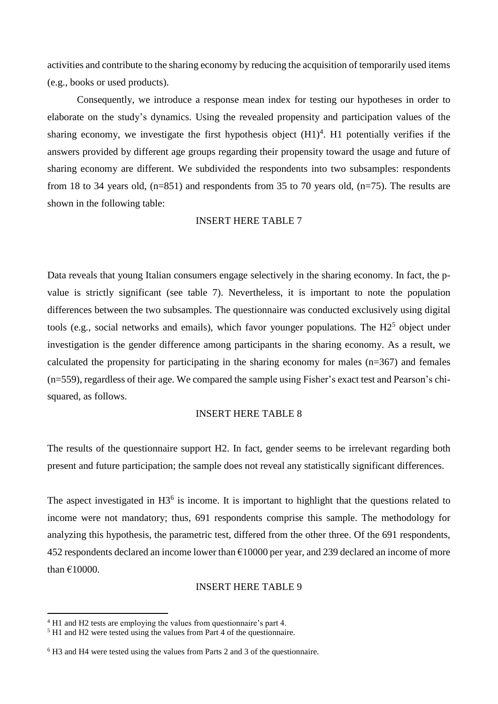activities and contribute to the sharing economy by reducing the acquisition of temporarily used items (e.g., books or used products).

Consequently, we introduce a response mean index for testing our hypotheses in order to elaborate on the study's dynamics. Using the revealed propensity and participation values of the sharing economy, we investigate the first hypothesis object  $(H1)<sup>4</sup>$ . H1 potentially verifies if the answers provided by different age groups regarding their propensity toward the usage and future of sharing economy are different. We subdivided the respondents into two subsamples: respondents from 18 to 34 years old,  $(n=851)$  and respondents from 35 to 70 years old,  $(n=75)$ . The results are shown in the following table:

### INSERT HERE TABLE 7

Data reveals that young Italian consumers engage selectively in the sharing economy. In fact, the pvalue is strictly significant (see table 7). Nevertheless, it is important to note the population differences between the two subsamples. The questionnaire was conducted exclusively using digital tools (e.g., social networks and emails), which favor younger populations. The  $H2<sup>5</sup>$  object under investigation is the gender difference among participants in the sharing economy. As a result, we calculated the propensity for participating in the sharing economy for males (n=367) and females (n=559), regardless of their age. We compared the sample using Fisher's exact test and Pearson's chisquared, as follows.

# INSERT HERE TABLE 8

The results of the questionnaire support H2. In fact, gender seems to be irrelevant regarding both present and future participation; the sample does not reveal any statistically significant differences.

The aspect investigated in  $H3<sup>6</sup>$  is income. It is important to highlight that the questions related to income were not mandatory; thus, 691 respondents comprise this sample. The methodology for analyzing this hypothesis, the parametric test, differed from the other three. Of the 691 respondents, 452 respondents declared an income lower than  $\epsilon$ 10000 per year, and 239 declared an income of more than €10000.

### INSERT HERE TABLE 9

1

<sup>&</sup>lt;sup>4</sup> H1 and H2 tests are employing the values from questionnaire's part 4.

<sup>&</sup>lt;sup>5</sup> H1 and H2 were tested using the values from Part 4 of the questionnaire.

<sup>6</sup> H3 and H4 were tested using the values from Parts 2 and 3 of the questionnaire.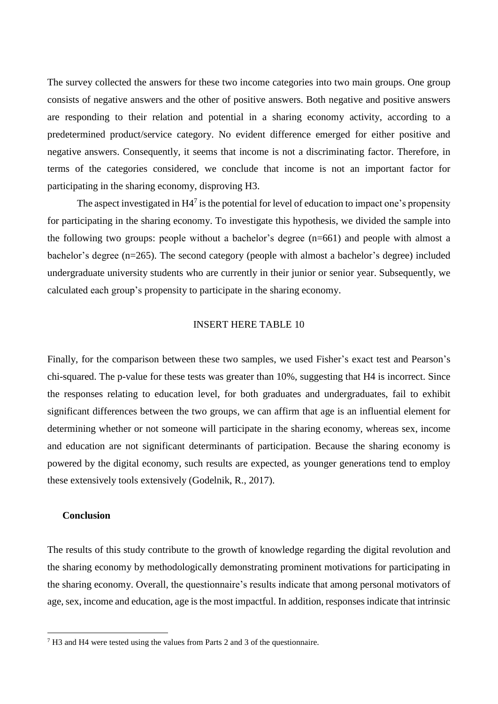The survey collected the answers for these two income categories into two main groups. One group consists of negative answers and the other of positive answers. Both negative and positive answers are responding to their relation and potential in a sharing economy activity, according to a predetermined product/service category. No evident difference emerged for either positive and negative answers. Consequently, it seems that income is not a discriminating factor. Therefore, in terms of the categories considered, we conclude that income is not an important factor for participating in the sharing economy, disproving H3.

The aspect investigated in  $H4^7$  is the potential for level of education to impact one's propensity for participating in the sharing economy. To investigate this hypothesis, we divided the sample into the following two groups: people without a bachelor's degree (n=661) and people with almost a bachelor's degree (n=265). The second category (people with almost a bachelor's degree) included undergraduate university students who are currently in their junior or senior year. Subsequently, we calculated each group's propensity to participate in the sharing economy.

# INSERT HERE TABLE 10

Finally, for the comparison between these two samples, we used Fisher's exact test and Pearson's chi-squared. The p-value for these tests was greater than 10%, suggesting that H4 is incorrect. Since the responses relating to education level, for both graduates and undergraduates, fail to exhibit significant differences between the two groups, we can affirm that age is an influential element for determining whether or not someone will participate in the sharing economy, whereas sex, income and education are not significant determinants of participation. Because the sharing economy is powered by the digital economy, such results are expected, as younger generations tend to employ these extensively tools extensively (Godelnik, R., 2017).

### **Conclusion**

1

The results of this study contribute to the growth of knowledge regarding the digital revolution and the sharing economy by methodologically demonstrating prominent motivations for participating in the sharing economy. Overall, the questionnaire's results indicate that among personal motivators of age, sex, income and education, age is the most impactful. In addition, responses indicate that intrinsic

<sup>7</sup> H3 and H4 were tested using the values from Parts 2 and 3 of the questionnaire.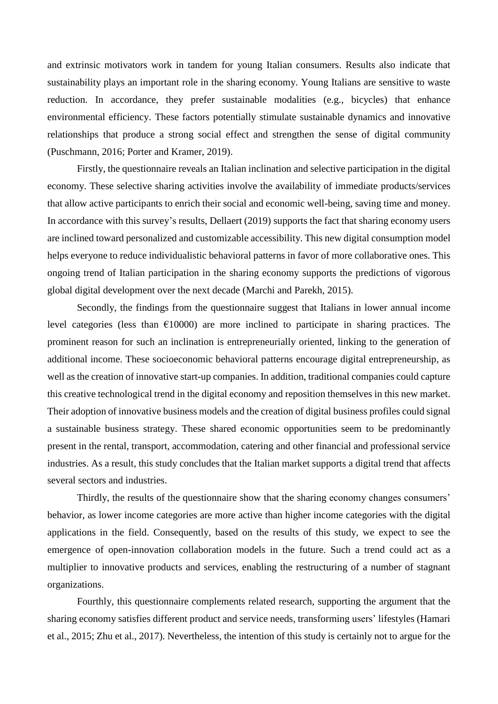and extrinsic motivators work in tandem for young Italian consumers. Results also indicate that sustainability plays an important role in the sharing economy. Young Italians are sensitive to waste reduction. In accordance, they prefer sustainable modalities (e.g., bicycles) that enhance environmental efficiency. These factors potentially stimulate sustainable dynamics and innovative relationships that produce a strong social effect and strengthen the sense of digital community (Puschmann, 2016; Porter and Kramer, 2019).

Firstly, the questionnaire reveals an Italian inclination and selective participation in the digital economy. These selective sharing activities involve the availability of immediate products/services that allow active participants to enrich their social and economic well-being, saving time and money. In accordance with this survey's results, Dellaert (2019) supports the fact that sharing economy users are inclined toward personalized and customizable accessibility. This new digital consumption model helps everyone to reduce individualistic behavioral patterns in favor of more collaborative ones. This ongoing trend of Italian participation in the sharing economy supports the predictions of vigorous global digital development over the next decade (Marchi and Parekh, 2015).

Secondly, the findings from the questionnaire suggest that Italians in lower annual income level categories (less than  $\epsilon$ 10000) are more inclined to participate in sharing practices. The prominent reason for such an inclination is entrepreneurially oriented, linking to the generation of additional income. These socioeconomic behavioral patterns encourage digital entrepreneurship, as well as the creation of innovative start-up companies. In addition, traditional companies could capture this creative technological trend in the digital economy and reposition themselves in this new market. Their adoption of innovative business models and the creation of digital business profiles could signal a sustainable business strategy. These shared economic opportunities seem to be predominantly present in the rental, transport, accommodation, catering and other financial and professional service industries. As a result, this study concludes that the Italian market supports a digital trend that affects several sectors and industries.

Thirdly, the results of the questionnaire show that the sharing economy changes consumers' behavior, as lower income categories are more active than higher income categories with the digital applications in the field. Consequently, based on the results of this study, we expect to see the emergence of open-innovation collaboration models in the future. Such a trend could act as a multiplier to innovative products and services, enabling the restructuring of a number of stagnant organizations.

Fourthly, this questionnaire complements related research, supporting the argument that the sharing economy satisfies different product and service needs, transforming users' lifestyles (Hamari et al., 2015; Zhu et al., 2017). Nevertheless, the intention of this study is certainly not to argue for the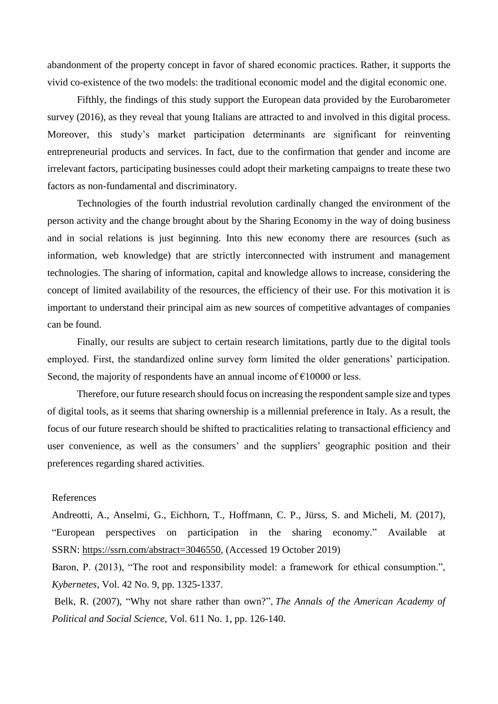abandonment of the property concept in favor of shared economic practices. Rather, it supports the vivid co-existence of the two models: the traditional economic model and the digital economic one.

Fifthly, the findings of this study support the European data provided by the Eurobarometer survey (2016), as they reveal that young Italians are attracted to and involved in this digital process. Moreover, this study's market participation determinants are significant for reinventing entrepreneurial products and services. In fact, due to the confirmation that gender and income are irrelevant factors, participating businesses could adopt their marketing campaigns to treate these two factors as non-fundamental and discriminatory.

Technologies of the fourth industrial revolution cardinally changed the environment of the person activity and the change brought about by the Sharing Economy in the way of doing business and in social relations is just beginning. Into this new economy there are resources (such as information, web knowledge) that are strictly interconnected with instrument and management technologies. The sharing of information, capital and knowledge allows to increase, considering the concept of limited availability of the resources, the efficiency of their use. For this motivation it is important to understand their principal aim as new sources of competitive advantages of companies can be found.

Finally, our results are subject to certain research limitations, partly due to the digital tools employed. First, the standardized online survey form limited the older generations' participation. Second, the majority of respondents have an annual income of  $\epsilon$ 10000 or less.

Therefore, our future research should focus on increasing the respondent sample size and types of digital tools, as it seems that sharing ownership is a millennial preference in Italy. As a result, the focus of our future research should be shifted to practicalities relating to transactional efficiency and user convenience, as well as the consumers' and the suppliers' geographic position and their preferences regarding shared activities.

### References

Andreotti, A., Anselmi, G., Eichhorn, T., Hoffmann, C. P., Jürss, S. and Micheli, M. (2017), "European perspectives on participation in the sharing economy." Available at SSRN: [https://ssrn.com/abstract=3046550,](https://ssrn.com/abstract=3046550) (Accessed 19 October 2019)

Baron, P. (2013), "The root and responsibility model: a framework for ethical consumption.", *Kybernetes*, Vol. 42 No. 9, pp. 1325-1337.

Belk, R. (2007), "Why not share rather than own?", *The Annals of the American Academy of Political and Social Science*, Vol. 611 No. 1, pp. 126-140.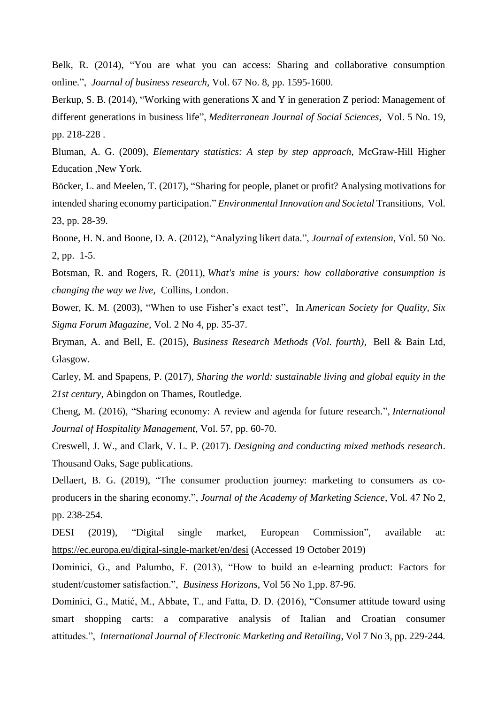Belk, R. (2014), "You are what you can access: Sharing and collaborative consumption online.", *Journal of business research*, Vol. 67 No. 8, pp. 1595-1600.

Berkup, S. B. (2014), "Working with generations X and Y in generation Z period: Management of different generations in business life", *Mediterranean Journal of Social Sciences*, Vol. 5 No. 19, pp. 218-228 .

Bluman, A. G. (2009), *Elementary statistics: A step by step approach,* McGraw-Hill Higher Education ,New York.

Böcker, L. and Meelen, T. (2017), "Sharing for people, planet or profit? Analysing motivations for intended sharing economy participation." *Environmental Innovation and Societal* Transitions, Vol. 23, pp. 28-39.

Boone, H. N. and Boone, D. A. (2012), "Analyzing likert data.", *Journal of extension*, Vol. 50 No. 2, pp. 1-5.

Botsman, R. and Rogers, R. (2011), *What's mine is yours: how collaborative consumption is changing the way we live,* Collins, London.

Bower, K. M. (2003), "When to use Fisher's exact test", In *American Society for Quality, Six Sigma Forum Magazine,* Vol. 2 No 4, pp. 35-37.

Bryman, A. and Bell, E. (2015), *Business Research Methods (Vol. fourth),* Bell & Bain Ltd, Glasgow.

Carley, M. and Spapens, P. (2017), *Sharing the world: sustainable living and global equity in the 21st century,* Abingdon on Thames, Routledge.

Cheng, M. (2016), "Sharing economy: A review and agenda for future research.", *International Journal of Hospitality Management*, Vol. 57, pp. 60-70.

Creswell, J. W., and Clark, V. L. P. (2017). *Designing and conducting mixed methods research*. Thousand Oaks, Sage publications.

Dellaert, B. G. (2019), "The consumer production journey: marketing to consumers as coproducers in the sharing economy.", *Journal of the Academy of Marketing Science*, Vol. 47 No 2, pp. 238-254.

DESI (2019), "Digital single market, European Commission", available at: <https://ec.europa.eu/digital-single-market/en/desi> (Accessed 19 October 2019)

Dominici, G., and Palumbo, F. (2013), "How to build an e-learning product: Factors for student/customer satisfaction.", *Business Horizons*, Vol 56 No 1,pp. 87-96.

Dominici, G., Matić, M., Abbate, T., and Fatta, D. D. (2016), "Consumer attitude toward using smart shopping carts: a comparative analysis of Italian and Croatian consumer attitudes.", *International Journal of Electronic Marketing and Retailing*, Vol 7 No 3, pp. 229-244.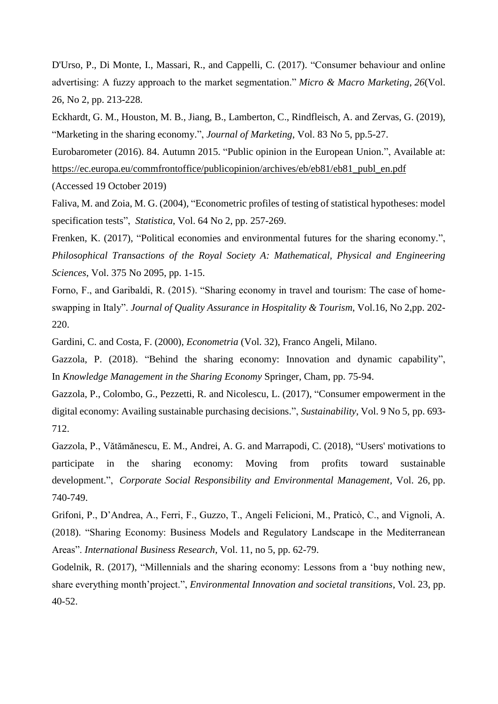D'Urso, P., Di Monte, I., Massari, R., and Cappelli, C. (2017). "Consumer behaviour and online advertising: A fuzzy approach to the market segmentation." *Micro & Macro Marketing*, *26*(Vol. 26, No 2, pp. 213-228.

Eckhardt, G. M., Houston, M. B., Jiang, B., Lamberton, C., Rindfleisch, A. and Zervas, G. (2019), "Marketing in the sharing economy.", *Journal of Marketing*, Vol. 83 No 5, pp.5-27.

Eurobarometer (2016). 84. Autumn 2015. "Public opinion in the European Union.", Available at: [https://ec.europa.eu/commfrontoffice/publicopinion/archives/eb/eb81/eb81\\_publ\\_en.pdf](https://ec.europa.eu/commfrontoffice/publicopinion/archives/eb/eb81/eb81_publ_en.pdf) (Accessed 19 October 2019)

Faliva, M. and Zoia, M. G. (2004), "Econometric profiles of testing of statistical hypotheses: model specification tests", *Statistica*, Vol. 64 No 2, pp. 257-269.

Frenken, K. (2017), "Political economies and environmental futures for the sharing economy.", *Philosophical Transactions of the Royal Society A: Mathematical, Physical and Engineering Sciences*, Vol. 375 No 2095, pp. 1-15.

Forno, F., and Garibaldi, R. (2015). "Sharing economy in travel and tourism: The case of homeswapping in Italy". *Journal of Quality Assurance in Hospitality & Tourism*, Vol.16, No 2,pp. 202- 220.

Gardini, C. and Costa, F. (2000), *Econometria* (Vol. 32), Franco Angeli, Milano.

Gazzola, P. (2018). "Behind the sharing economy: Innovation and dynamic capability", In *Knowledge Management in the Sharing Economy* Springer, Cham, pp. 75-94.

Gazzola, P., Colombo, G., Pezzetti, R. and Nicolescu, L. (2017), "Consumer empowerment in the digital economy: Availing sustainable purchasing decisions.", *Sustainability*, Vol. 9 No 5, pp. 693- 712.

Gazzola, P., Vătămănescu, E. M., Andrei, A. G. and Marrapodi, C. (2018), "Users' motivations to participate in the sharing economy: Moving from profits toward sustainable development.", *Corporate Social Responsibility and Environmental Management,* Vol. 26, pp. 740-749.

Grifoni, P., D'Andrea, A., Ferri, F., Guzzo, T., Angeli Felicioni, M., Praticò, C., and Vignoli, A. (2018). "Sharing Economy: Business Models and Regulatory Landscape in the Mediterranean Areas". *International Business Research*, Vol. 11, no 5, pp. 62-79.

Godelnik, R. (2017), "Millennials and the sharing economy: Lessons from a 'buy nothing new, share everything month'project.", *Environmental Innovation and societal transitions*, Vol. 23, pp. 40-52.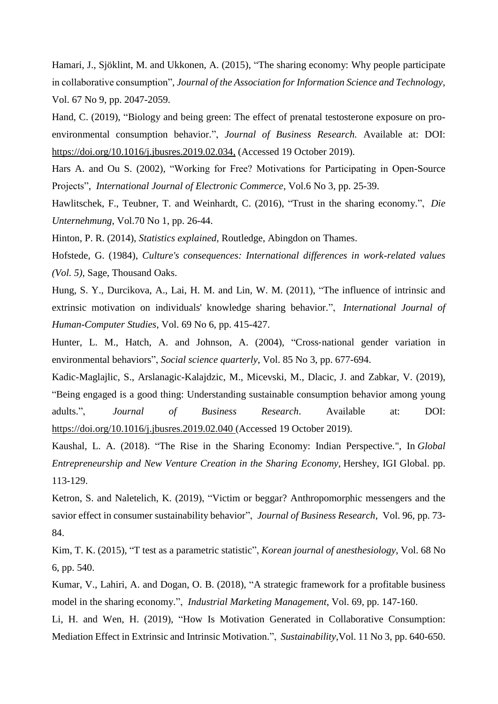Hamari, J., Sjöklint, M. and Ukkonen, A. (2015), "The sharing economy: Why people participate in collaborative consumption", *Journal of the Association for Information Science and Technology,*  Vol. 67 No 9, pp. 2047-2059.

Hand, C. (2019), "Biology and being green: The effect of prenatal testosterone exposure on proenvironmental consumption behavior.", *Journal of Business Research.* Available at: DOI: [https://doi.org/10.1016/j.jbusres.2019.02.034,](https://doi.org/10.1016/j.jbusres.2019.02.034) (Accessed 19 October 2019).

Hars A. and Ou S. (2002), "Working for Free? Motivations for Participating in Open-Source Projects", *International Journal of Electronic Commerce,* Vol.6 No 3, pp. 25-39.

Hawlitschek, F., Teubner, T. and Weinhardt, C. (2016), "Trust in the sharing economy.", *Die Unternehmung*, Vol.70 No 1, pp. 26-44.

Hinton, P. R. (2014), *Statistics explained,* Routledge, Abingdon on Thames.

Hofstede, G. (1984), *Culture's consequences: International differences in work-related values (Vol. 5),* Sage, Thousand Oaks.

Hung, S. Y., Durcikova, A., Lai, H. M. and Lin, W. M. (2011), "The influence of intrinsic and extrinsic motivation on individuals' knowledge sharing behavior.", *International Journal of Human-Computer Studies*, Vol. 69 No 6, pp. 415-427.

Hunter, L. M., Hatch, A. and Johnson, A. (2004), "Cross-national gender variation in environmental behaviors", *Social science quarterly*, Vol. 85 No 3, pp. 677-694.

Kadic-Maglajlic, S., Arslanagic-Kalajdzic, M., Micevski, M., Dlacic, J. and Zabkar, V. (2019), "Being engaged is a good thing: Understanding sustainable consumption behavior among young adults.", *Journal of Business Research*. Available at: DOI: <https://doi.org/10.1016/j.jbusres.2019.02.040> (Accessed 19 October 2019).

Kaushal, L. A. (2018). "The Rise in the Sharing Economy: Indian Perspective.", In *Global Entrepreneurship and New Venture Creation in the Sharing Economy,* Hershey, IGI Global. pp. 113-129.

Ketron, S. and Naletelich, K. (2019), "Victim or beggar? Anthropomorphic messengers and the savior effect in consumer sustainability behavior", *Journal of Business Research*, Vol. 96, pp. 73- 84.

Kim, T. K. (2015), "T test as a parametric statistic", *Korean journal of anesthesiology*, Vol. 68 No 6, pp. 540.

Kumar, V., Lahiri, A. and Dogan, O. B. (2018), "A strategic framework for a profitable business model in the sharing economy.", *Industrial Marketing Management*, Vol. 69, pp. 147-160.

Li, H. and Wen, H. (2019), "How Is Motivation Generated in Collaborative Consumption: Mediation Effect in Extrinsic and Intrinsic Motivation.", *Sustainability,*Vol. 11 No 3, pp. 640-650.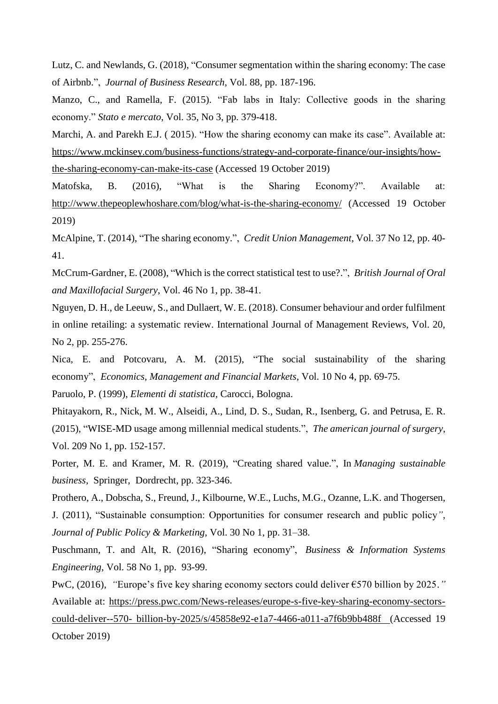Lutz, C. and Newlands, G. (2018), "Consumer segmentation within the sharing economy: The case of Airbnb.", *Journal of Business Research*, Vol. 88, pp. 187-196.

Manzo, C., and Ramella, F. (2015). "Fab labs in Italy: Collective goods in the sharing economy." *Stato e mercato*, Vol. 35, No 3, pp. 379-418.

Marchi, A. and Parekh E.J. ( 2015). "How the sharing economy can make its case". Available at: [https://www.mckinsey.com/business-functions/strategy-and-corporate-finance/our-insights/how](https://www.mckinsey.com/business-functions/strategy-and-corporate-finance/our-insights/how-the-sharing-economy-can-make-its-case)[the-sharing-economy-can-make-its-case](https://www.mckinsey.com/business-functions/strategy-and-corporate-finance/our-insights/how-the-sharing-economy-can-make-its-case) (Accessed 19 October 2019)

Matofska, B. (2016), "What is the Sharing Economy?". Available at: <http://www.thepeoplewhoshare.com/blog/what-is-the-sharing-economy/> (Accessed 19 October 2019)

McAlpine, T. (2014), "The sharing economy.", *Credit Union Management*, Vol. 37 No 12, pp. 40- 41.

McCrum-Gardner, E. (2008), "Which is the correct statistical test to use?.", *British Journal of Oral and Maxillofacial Surgery*, Vol. 46 No 1, pp. 38-41.

Nguyen, D. H., de Leeuw, S., and Dullaert, W. E. (2018). Consumer behaviour and order fulfilment in online retailing: a systematic review. International Journal of Management Reviews, Vol. 20, No 2, pp. 255-276.

Nica, E. and Potcovaru, A. M. (2015), "The social sustainability of the sharing economy", *Economics, Management and Financial Markets*, Vol. 10 No 4, pp. 69-75.

Paruolo, P. (1999), *Elementi di statistica,* Carocci, Bologna.

Phitayakorn, R., Nick, M. W., Alseidi, A., Lind, D. S., Sudan, R., Isenberg, G. and Petrusa, E. R. (2015), "WISE-MD usage among millennial medical students.", *The american journal of surgery*, Vol. 209 No 1, pp. 152-157.

Porter, M. E. and Kramer, M. R. (2019), "Creating shared value.", In *Managing sustainable business,* Springer, Dordrecht, pp. 323-346.

Prothero, A., Dobscha, S., Freund, J., Kilbourne, W.E., Luchs, M.G., Ozanne, L.K. and Thogersen,

J. (2011), "Sustainable consumption: Opportunities for consumer research and public policy*", Journal of Public Policy & Marketing*, Vol. 30 No 1, pp. 31–38.

Puschmann, T. and Alt, R. (2016), "Sharing economy", *Business & Information Systems Engineering*, Vol. 58 No 1, pp. 93-99.

PwC, (2016), *"*Europe's five key sharing economy sectors could deliver €570 billion by 2025*."* Available at: [https://press.pwc.com/News-releases/europe-s-five-key-sharing-economy-sectors](https://press.pwc.com/News-releases/europe-s-five-key-sharing-economy-sectors-could-deliver--570-%20billion-by-2025/s/45858e92-e1a7-4466-a011-a7f6b9bb488f)could-deliver--570- [billion-by-2025/s/45858e92-e1a7-4466-a011-a7f6b9bb488f](https://press.pwc.com/News-releases/europe-s-five-key-sharing-economy-sectors-could-deliver--570-%20billion-by-2025/s/45858e92-e1a7-4466-a011-a7f6b9bb488f) (Accessed 19 October 2019)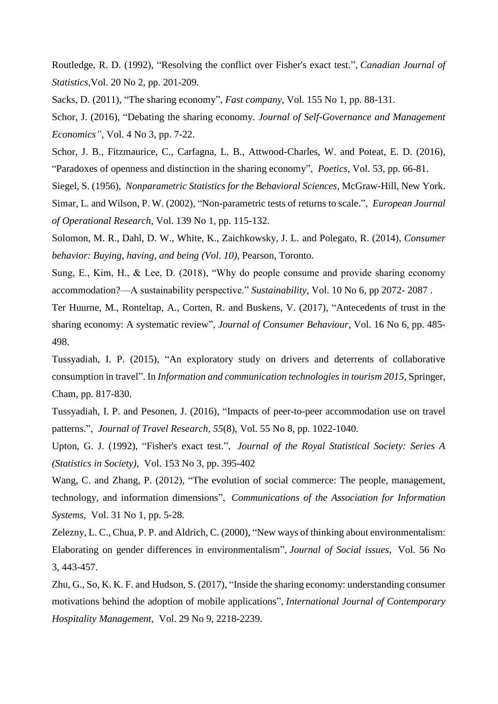Routledge, R. D. (1992), "Resolving the conflict over Fisher's exact test.", *Canadian Journal of Statistics*,Vol. 20 No 2, pp. 201-209.

Sacks, D. (2011), "The sharing economy", *Fast company*, Vol. 155 No 1, pp. 88-131.

Schor, J. (2016), "Debating the sharing economy. *Journal of Self-Governance and Management Economics",* Vol. 4 No 3, pp. 7-22.

Schor, J. B., Fitzmaurice, C., Carfagna, L. B., Attwood-Charles, W. and Poteat, E. D. (2016), "Paradoxes of openness and distinction in the sharing economy", *Poetics*, Vol. 53, pp. 66-81.

Siegel, S. (1956), *Nonparametric Statistics for the Behavioral Sciences,* McGraw-Hill, New York.

Simar, L. and Wilson, P. W. (2002), "Non-parametric tests of returns to scale.", *European Journal of Operational Research*, Vol. 139 No 1, pp. 115-132.

Solomon, M. R., Dahl, D. W., White, K., Zaichkowsky, J. L. and Polegato, R. (2014), *Consumer behavior: Buying, having, and being (Vol. 10),* Pearson, Toronto.

Sung, E., Kim, H., & Lee, D. (2018), "Why do people consume and provide sharing economy accommodation?—A sustainability perspective." *Sustainability*, Vol. 10 No 6, pp 2072- 2087 .

Ter Huurne, M., Ronteltap, A., Corten, R. and Buskens, V. (2017), "Antecedents of trust in the sharing economy: A systematic review", *Journal of Consumer Behaviour*, Vol. 16 No 6, pp. 485- 498.

Tussyadiah, I. P. (2015), "An exploratory study on drivers and deterrents of collaborative consumption in travel". In *Information and communication technologies in tourism 2015,* Springer, Cham, pp. 817-830.

Tussyadiah, I. P. and Pesonen, J. (2016), "Impacts of peer-to-peer accommodation use on travel patterns.", *Journal of Travel Research*, *55*(8), Vol. 55 No 8, pp. 1022-1040.

Upton, G. J. (1992), "Fisher's exact test.", *Journal of the Royal Statistical Society: Series A (Statistics in Society)*, Vol. 153 No 3, pp. 395-402

Wang, C. and Zhang, P. (2012), "The evolution of social commerce: The people, management, technology, and information dimensions", *Communications of the Association for Information Systems*, Vol. 31 No 1, pp. 5-28.

Zelezny, L. C., Chua, P. P. and Aldrich, C. (2000), "New ways of thinking about environmentalism: Elaborating on gender differences in environmentalism", *Journal of Social issues*, Vol. 56 No 3, 443-457.

Zhu, G., So, K. K. F. and Hudson, S. (2017), "Inside the sharing economy: understanding consumer motivations behind the adoption of mobile applications", *International Journal of Contemporary Hospitality Management*, Vol. 29 No 9, 2218-2239.